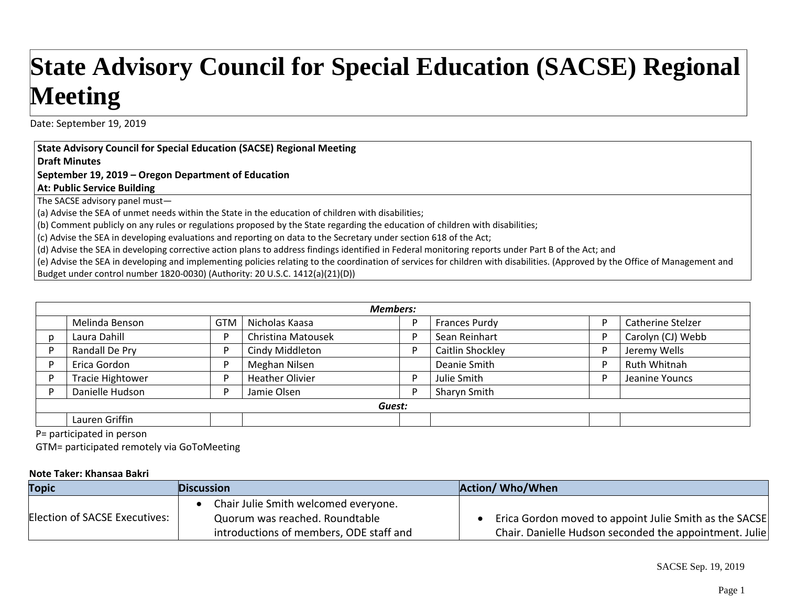## **State Advisory Council for Special Education (SACSE) Regional Meeting**

Date: September 19, 2019

## **State Advisory Council for Special Education (SACSE) Regional Meeting**

**Draft Minutes**

## **September 19, 2019 – Oregon Department of Education**

**At: Public Service Building**

The SACSE advisory panel must—

(a) Advise the SEA of unmet needs within the State in the education of children with disabilities;

(b) Comment publicly on any rules or regulations proposed by the State regarding the education of children with disabilities;

(c) Advise the SEA in developing evaluations and reporting on data to the Secretary under section 618 of the Act;

(d) Advise the SEA in developing corrective action plans to address findings identified in Federal monitoring reports under Part B of the Act; and

(e) Advise the SEA in developing and implementing policies relating to the coordination of services for children with disabilities. (Approved by the Office of Management and Budget under control number 1820‐0030) (Authority: 20 U.S.C. 1412(a)(21)(D))

| <b>Members:</b> |                         |            |                           |  |                      |                   |
|-----------------|-------------------------|------------|---------------------------|--|----------------------|-------------------|
|                 | Melinda Benson          | <b>GTM</b> | Nicholas Kaasa            |  | <b>Frances Purdy</b> | Catherine Stelzer |
|                 | Laura Dahill            | D          | <b>Christina Matousek</b> |  | Sean Reinhart        | Carolyn (CJ) Webb |
|                 | Randall De Pry          | D          | Cindy Middleton           |  | Caitlin Shockley     | Jeremy Wells      |
|                 | Erica Gordon            | D          | Meghan Nilsen             |  | Deanie Smith         | Ruth Whitnah      |
|                 | <b>Tracie Hightower</b> | D          | <b>Heather Olivier</b>    |  | Julie Smith          | Jeanine Youncs    |
|                 | Danielle Hudson         | D          | Jamie Olsen               |  | Sharyn Smith         |                   |
| Guest:          |                         |            |                           |  |                      |                   |
|                 | Lauren Griffin          |            |                           |  |                      |                   |

P= participated in person

GTM= participated remotely via GoToMeeting

## **Note Taker: Khansaa Bakri**

| <b>Topic</b>                  | <b>Discussion</b>                                                      | <b>Action/ Who/When</b>                                |
|-------------------------------|------------------------------------------------------------------------|--------------------------------------------------------|
| Election of SACSE Executives: | Chair Julie Smith welcomed everyone.<br>Quorum was reached. Roundtable | Erica Gordon moved to appoint Julie Smith as the SACSE |
|                               | introductions of members, ODE staff and                                | Chair. Danielle Hudson seconded the appointment. Julie |

SACSE Sep. 19, 2019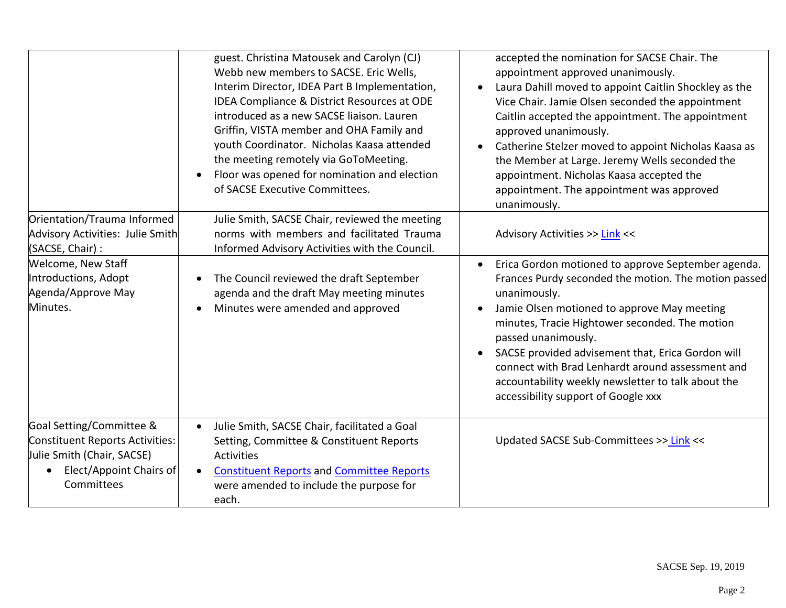|                                                                                                                                                 | guest. Christina Matousek and Carolyn (CJ)<br>Webb new members to SACSE. Eric Wells,<br>Interim Director, IDEA Part B Implementation,<br>IDEA Compliance & District Resources at ODE<br>introduced as a new SACSE liaison. Lauren<br>Griffin, VISTA member and OHA Family and<br>youth Coordinator. Nicholas Kaasa attended<br>the meeting remotely via GoToMeeting.<br>Floor was opened for nomination and election<br>of SACSE Executive Committees. | accepted the nomination for SACSE Chair. The<br>appointment approved unanimously.<br>Laura Dahill moved to appoint Caitlin Shockley as the<br>Vice Chair. Jamie Olsen seconded the appointment<br>Caitlin accepted the appointment. The appointment<br>approved unanimously.<br>Catherine Stelzer moved to appoint Nicholas Kaasa as<br>the Member at Large. Jeremy Wells seconded the<br>appointment. Nicholas Kaasa accepted the<br>appointment. The appointment was approved<br>unanimously. |
|-------------------------------------------------------------------------------------------------------------------------------------------------|--------------------------------------------------------------------------------------------------------------------------------------------------------------------------------------------------------------------------------------------------------------------------------------------------------------------------------------------------------------------------------------------------------------------------------------------------------|-------------------------------------------------------------------------------------------------------------------------------------------------------------------------------------------------------------------------------------------------------------------------------------------------------------------------------------------------------------------------------------------------------------------------------------------------------------------------------------------------|
| Orientation/Trauma Informed<br>Advisory Activities: Julie Smith<br>(SACSE, Chair) :                                                             | Julie Smith, SACSE Chair, reviewed the meeting<br>norms with members and facilitated Trauma<br>Informed Advisory Activities with the Council.                                                                                                                                                                                                                                                                                                          | Advisory Activities >> Link <<                                                                                                                                                                                                                                                                                                                                                                                                                                                                  |
| Welcome, New Staff<br>Introductions, Adopt<br>Agenda/Approve May<br>Minutes.                                                                    | The Council reviewed the draft September<br>$\bullet$<br>agenda and the draft May meeting minutes<br>Minutes were amended and approved<br>$\bullet$                                                                                                                                                                                                                                                                                                    | Erica Gordon motioned to approve September agenda.<br>Frances Purdy seconded the motion. The motion passed<br>unanimously.<br>Jamie Olsen motioned to approve May meeting<br>minutes, Tracie Hightower seconded. The motion<br>passed unanimously.<br>SACSE provided advisement that, Erica Gordon will<br>connect with Brad Lenhardt around assessment and<br>accountability weekly newsletter to talk about the<br>accessibility support of Google xxx                                        |
| Goal Setting/Committee &<br>Constituent Reports Activities:<br>Julie Smith (Chair, SACSE)<br>Elect/Appoint Chairs of<br>$\bullet$<br>Committees | Julie Smith, SACSE Chair, facilitated a Goal<br>$\bullet$<br>Setting, Committee & Constituent Reports<br><b>Activities</b><br><b>Constituent Reports and Committee Reports</b><br>$\bullet$<br>were amended to include the purpose for<br>each.                                                                                                                                                                                                        | Updated SACSE Sub-Committees >> Link <<                                                                                                                                                                                                                                                                                                                                                                                                                                                         |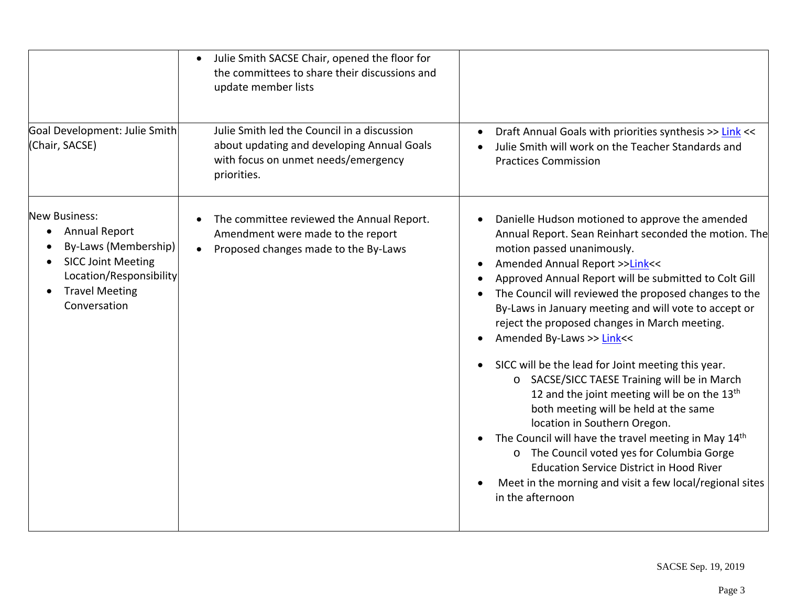|                                                                                                                                                              | Julie Smith SACSE Chair, opened the floor for<br>the committees to share their discussions and<br>update member lists                           |                                                                                                                                                                                                                                                                                                                                                                                                                                                                                                                                                                                                                                                                                                                                                                                                                                                                                                                                                                                                                 |  |
|--------------------------------------------------------------------------------------------------------------------------------------------------------------|-------------------------------------------------------------------------------------------------------------------------------------------------|-----------------------------------------------------------------------------------------------------------------------------------------------------------------------------------------------------------------------------------------------------------------------------------------------------------------------------------------------------------------------------------------------------------------------------------------------------------------------------------------------------------------------------------------------------------------------------------------------------------------------------------------------------------------------------------------------------------------------------------------------------------------------------------------------------------------------------------------------------------------------------------------------------------------------------------------------------------------------------------------------------------------|--|
| Goal Development: Julie Smith<br>(Chair, SACSE)                                                                                                              | Julie Smith led the Council in a discussion<br>about updating and developing Annual Goals<br>with focus on unmet needs/emergency<br>priorities. | Draft Annual Goals with priorities synthesis >> Link <<<br>Julie Smith will work on the Teacher Standards and<br><b>Practices Commission</b>                                                                                                                                                                                                                                                                                                                                                                                                                                                                                                                                                                                                                                                                                                                                                                                                                                                                    |  |
| New Business:<br>Annual Report<br>By-Laws (Membership)<br><b>SICC Joint Meeting</b><br>Location/Responsibility<br><b>Travel Meeting</b><br>٠<br>Conversation | The committee reviewed the Annual Report.<br>Amendment were made to the report<br>Proposed changes made to the By-Laws                          | Danielle Hudson motioned to approve the amended<br>$\bullet$<br>Annual Report. Sean Reinhart seconded the motion. The<br>motion passed unanimously.<br>Amended Annual Report >>Link<<<br>$\bullet$<br>Approved Annual Report will be submitted to Colt Gill<br>The Council will reviewed the proposed changes to the<br>By-Laws in January meeting and will vote to accept or<br>reject the proposed changes in March meeting.<br>Amended By-Laws >> Link<<<br>$\bullet$<br>SICC will be the lead for Joint meeting this year.<br>$\bullet$<br>o SACSE/SICC TAESE Training will be in March<br>12 and the joint meeting will be on the 13 <sup>th</sup><br>both meeting will be held at the same<br>location in Southern Oregon.<br>The Council will have the travel meeting in May 14 <sup>th</sup><br>$\bullet$<br>o The Council voted yes for Columbia Gorge<br><b>Education Service District in Hood River</b><br>Meet in the morning and visit a few local/regional sites<br>$\bullet$<br>in the afternoon |  |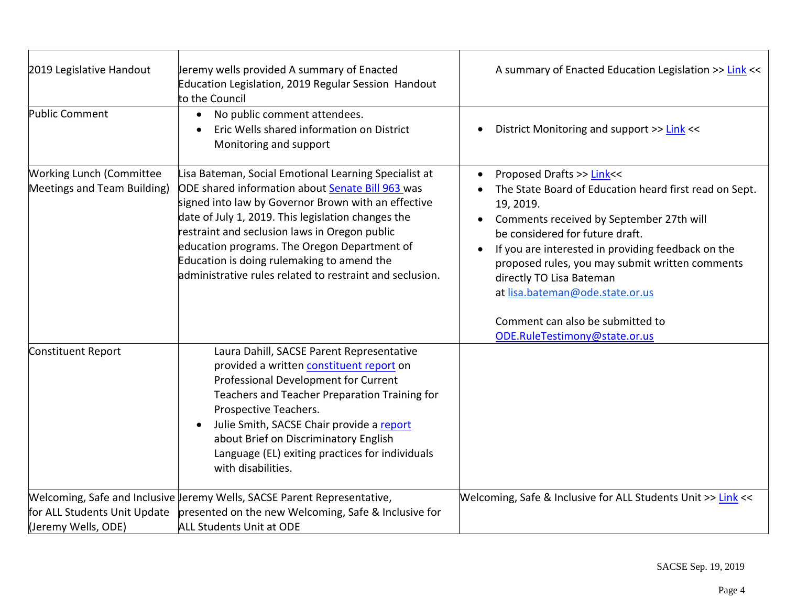| 2019 Legislative Handout                                       | Jeremy wells provided A summary of Enacted<br>Education Legislation, 2019 Regular Session Handout<br>to the Council                                                                                                                                                                                                                                                                                                                      | A summary of Enacted Education Legislation >> Link <<                                                                                                                                                                                                                                                                                                                                                                        |
|----------------------------------------------------------------|------------------------------------------------------------------------------------------------------------------------------------------------------------------------------------------------------------------------------------------------------------------------------------------------------------------------------------------------------------------------------------------------------------------------------------------|------------------------------------------------------------------------------------------------------------------------------------------------------------------------------------------------------------------------------------------------------------------------------------------------------------------------------------------------------------------------------------------------------------------------------|
| Public Comment                                                 | No public comment attendees.<br>$\bullet$<br>Eric Wells shared information on District<br>Monitoring and support                                                                                                                                                                                                                                                                                                                         | District Monitoring and support >> Link <<                                                                                                                                                                                                                                                                                                                                                                                   |
| <b>Working Lunch (Committee</b><br>Meetings and Team Building) | Lisa Bateman, Social Emotional Learning Specialist at<br>ODE shared information about <b>Senate Bill 963</b> was<br>signed into law by Governor Brown with an effective<br>date of July 1, 2019. This legislation changes the<br>restraint and seclusion laws in Oregon public<br>education programs. The Oregon Department of<br>Education is doing rulemaking to amend the<br>administrative rules related to restraint and seclusion. | Proposed Drafts >> Link<<<br>The State Board of Education heard first read on Sept.<br>19, 2019.<br>Comments received by September 27th will<br>be considered for future draft.<br>If you are interested in providing feedback on the<br>proposed rules, you may submit written comments<br>directly TO Lisa Bateman<br>at lisa.bateman@ode.state.or.us<br>Comment can also be submitted to<br>ODE.RuleTestimony@state.or.us |
| Constituent Report                                             | Laura Dahill, SACSE Parent Representative<br>provided a written constituent report on<br>Professional Development for Current<br>Teachers and Teacher Preparation Training for<br>Prospective Teachers.<br>Julie Smith, SACSE Chair provide a report<br>about Brief on Discriminatory English<br>Language (EL) exiting practices for individuals<br>with disabilities.                                                                   |                                                                                                                                                                                                                                                                                                                                                                                                                              |
| for ALL Students Unit Update<br>(Jeremy Wells, ODE)            | Welcoming, Safe and Inclusive Jeremy Wells, SACSE Parent Representative,<br>presented on the new Welcoming, Safe & Inclusive for<br><b>ALL Students Unit at ODE</b>                                                                                                                                                                                                                                                                      | Welcoming, Safe & Inclusive for ALL Students Unit >> Link <<                                                                                                                                                                                                                                                                                                                                                                 |